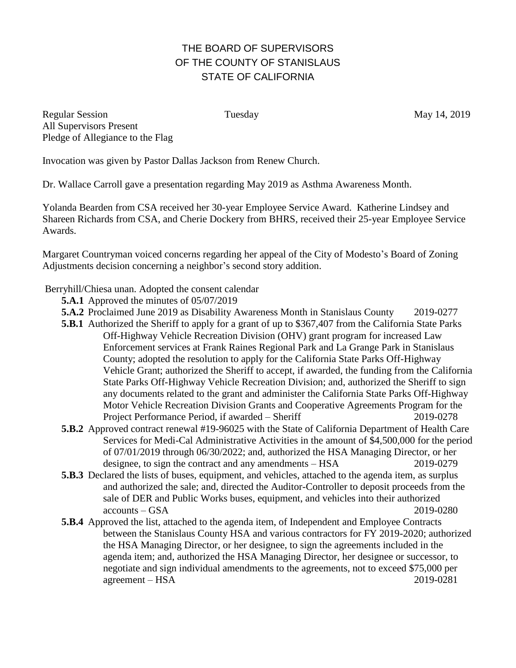## THE BOARD OF SUPERVISORS OF THE COUNTY OF STANISLAUS STATE OF CALIFORNIA

Regular Session Tuesday Tuesday May 14, 2019 All Supervisors Present Pledge of Allegiance to the Flag

Invocation was given by Pastor Dallas Jackson from Renew Church.

Dr. Wallace Carroll gave a presentation regarding May 2019 as Asthma Awareness Month.

Yolanda Bearden from CSA received her 30-year Employee Service Award. Katherine Lindsey and Shareen Richards from CSA, and Cherie Dockery from BHRS, received their 25-year Employee Service Awards.

Margaret Countryman voiced concerns regarding her appeal of the City of Modesto's Board of Zoning Adjustments decision concerning a neighbor's second story addition.

Berryhill/Chiesa unan. Adopted the consent calendar

- **5.A.1** Approved the minutes of 05/07/2019
- **5.A.2** Proclaimed June 2019 as Disability Awareness Month in Stanislaus County 2019-0277
- **5.B.1** Authorized the Sheriff to apply for a grant of up to \$367,407 from the California State Parks Off-Highway Vehicle Recreation Division (OHV) grant program for increased Law Enforcement services at Frank Raines Regional Park and La Grange Park in Stanislaus County; adopted the resolution to apply for the California State Parks Off-Highway Vehicle Grant; authorized the Sheriff to accept, if awarded, the funding from the California State Parks Off-Highway Vehicle Recreation Division; and, authorized the Sheriff to sign any documents related to the grant and administer the California State Parks Off-Highway Motor Vehicle Recreation Division Grants and Cooperative Agreements Program for the Project Performance Period, if awarded – Sheriff 2019-0278
- **5.B.2** Approved contract renewal #19-96025 with the State of California Department of Health Care Services for Medi-Cal Administrative Activities in the amount of \$4,500,000 for the period of 07/01/2019 through 06/30/2022; and, authorized the HSA Managing Director, or her designee, to sign the contract and any amendments – HSA 2019-0279
- **5.B.3** Declared the lists of buses, equipment, and vehicles, attached to the agenda item, as surplus and authorized the sale; and, directed the Auditor-Controller to deposit proceeds from the sale of DER and Public Works buses, equipment, and vehicles into their authorized accounts – GSA 2019-0280
- **5.B.4** Approved the list, attached to the agenda item, of Independent and Employee Contracts between the Stanislaus County HSA and various contractors for FY 2019-2020; authorized the HSA Managing Director, or her designee, to sign the agreements included in the agenda item; and, authorized the HSA Managing Director, her designee or successor, to negotiate and sign individual amendments to the agreements, not to exceed \$75,000 per agreement – HSA 2019-0281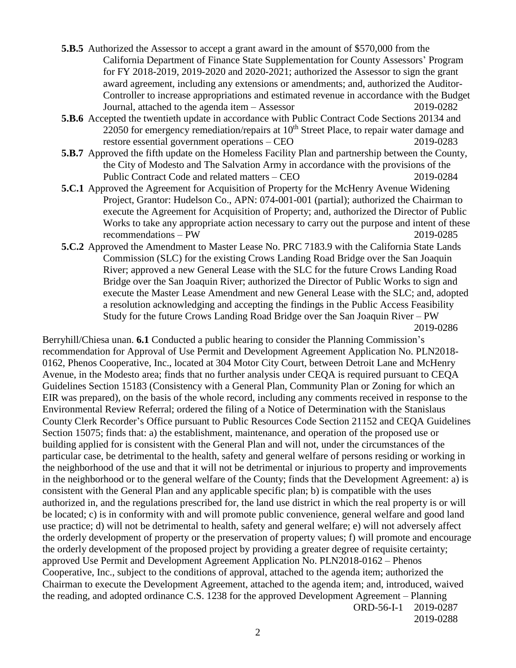- **5.B.5** Authorized the Assessor to accept a grant award in the amount of \$570,000 from the California Department of Finance State Supplementation for County Assessors' Program for FY 2018-2019, 2019-2020 and 2020-2021; authorized the Assessor to sign the grant award agreement, including any extensions or amendments; and, authorized the Auditor-Controller to increase appropriations and estimated revenue in accordance with the Budget Journal, attached to the agenda item – Assessor 2019-0282
- **5.B.6** Accepted the twentieth update in accordance with Public Contract Code Sections 20134 and 22050 for emergency remediation/repairs at  $10<sup>th</sup>$  Street Place, to repair water damage and restore essential government operations – CEO 2019-0283
- **5.B.7** Approved the fifth update on the Homeless Facility Plan and partnership between the County, the City of Modesto and The Salvation Army in accordance with the provisions of the Public Contract Code and related matters – CEO 2019-0284
- **5.C.1** Approved the Agreement for Acquisition of Property for the McHenry Avenue Widening Project, Grantor: Hudelson Co., APN: 074-001-001 (partial); authorized the Chairman to execute the Agreement for Acquisition of Property; and, authorized the Director of Public Works to take any appropriate action necessary to carry out the purpose and intent of these recommendations – PW 2019-0285
- **5.C.2** Approved the Amendment to Master Lease No. PRC 7183.9 with the California State Lands Commission (SLC) for the existing Crows Landing Road Bridge over the San Joaquin River; approved a new General Lease with the SLC for the future Crows Landing Road Bridge over the San Joaquin River; authorized the Director of Public Works to sign and execute the Master Lease Amendment and new General Lease with the SLC; and, adopted a resolution acknowledging and accepting the findings in the Public Access Feasibility Study for the future Crows Landing Road Bridge over the San Joaquin River – PW 2019-0286

Berryhill/Chiesa unan. **6.1** Conducted a public hearing to consider the Planning Commission's recommendation for Approval of Use Permit and Development Agreement Application No. PLN2018- 0162, Phenos Cooperative, Inc., located at 304 Motor City Court, between Detroit Lane and McHenry Avenue, in the Modesto area; finds that no further analysis under CEQA is required pursuant to CEQA Guidelines Section 15183 (Consistency with a General Plan, Community Plan or Zoning for which an EIR was prepared), on the basis of the whole record, including any comments received in response to the Environmental Review Referral; ordered the filing of a Notice of Determination with the Stanislaus County Clerk Recorder's Office pursuant to Public Resources Code Section 21152 and CEQA Guidelines Section 15075; finds that: a) the establishment, maintenance, and operation of the proposed use or building applied for is consistent with the General Plan and will not, under the circumstances of the particular case, be detrimental to the health, safety and general welfare of persons residing or working in the neighborhood of the use and that it will not be detrimental or injurious to property and improvements in the neighborhood or to the general welfare of the County; finds that the Development Agreement: a) is consistent with the General Plan and any applicable specific plan; b) is compatible with the uses authorized in, and the regulations prescribed for, the land use district in which the real property is or will be located; c) is in conformity with and will promote public convenience, general welfare and good land use practice; d) will not be detrimental to health, safety and general welfare; e) will not adversely affect the orderly development of property or the preservation of property values; f) will promote and encourage the orderly development of the proposed project by providing a greater degree of requisite certainty; approved Use Permit and Development Agreement Application No. PLN2018-0162 – Phenos Cooperative, Inc., subject to the conditions of approval, attached to the agenda item; authorized the Chairman to execute the Development Agreement, attached to the agenda item; and, introduced, waived the reading, and adopted ordinance C.S. 1238 for the approved Development Agreement – Planning ORD-56-I-1 2019-0287

2019-0288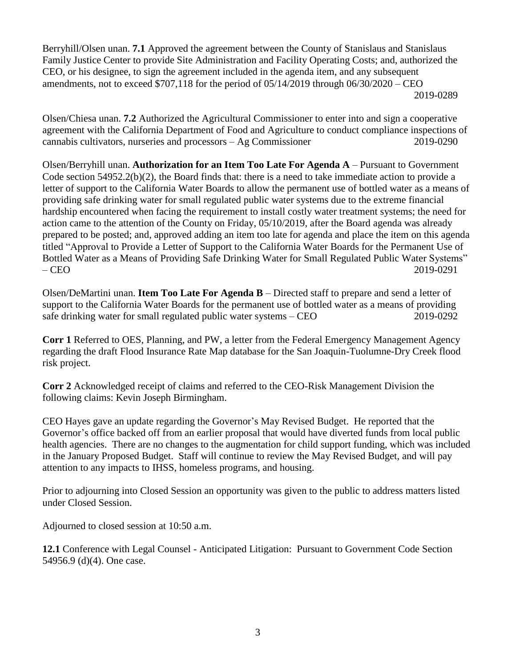Berryhill/Olsen unan. **7.1** Approved the agreement between the County of Stanislaus and Stanislaus Family Justice Center to provide Site Administration and Facility Operating Costs; and, authorized the CEO, or his designee, to sign the agreement included in the agenda item, and any subsequent amendments, not to exceed  $$707,118$  for the period of  $05/14/2019$  through  $06/30/2020 - CEO$ 2019-0289

Olsen/Chiesa unan. **7.2** Authorized the Agricultural Commissioner to enter into and sign a cooperative agreement with the California Department of Food and Agriculture to conduct compliance inspections of cannabis cultivators, nurseries and processors – Ag Commissioner 2019-0290

Olsen/Berryhill unan. **Authorization for an Item Too Late For Agenda A** – Pursuant to Government Code section 54952.2(b)(2), the Board finds that: there is a need to take immediate action to provide a letter of support to the California Water Boards to allow the permanent use of bottled water as a means of providing safe drinking water for small regulated public water systems due to the extreme financial hardship encountered when facing the requirement to install costly water treatment systems; the need for action came to the attention of the County on Friday, 05/10/2019, after the Board agenda was already prepared to be posted; and, approved adding an item too late for agenda and place the item on this agenda titled "Approval to Provide a Letter of Support to the California Water Boards for the Permanent Use of Bottled Water as a Means of Providing Safe Drinking Water for Small Regulated Public Water Systems" – CEO 2019-0291

Olsen/DeMartini unan. **Item Too Late For Agenda B** – Directed staff to prepare and send a letter of support to the California Water Boards for the permanent use of bottled water as a means of providing safe drinking water for small regulated public water systems – CEO 2019-0292

**Corr 1** Referred to OES, Planning, and PW, a letter from the Federal Emergency Management Agency regarding the draft Flood Insurance Rate Map database for the San Joaquin-Tuolumne-Dry Creek flood risk project.

**Corr 2** Acknowledged receipt of claims and referred to the CEO-Risk Management Division the following claims: Kevin Joseph Birmingham.

CEO Hayes gave an update regarding the Governor's May Revised Budget. He reported that the Governor's office backed off from an earlier proposal that would have diverted funds from local public health agencies. There are no changes to the augmentation for child support funding, which was included in the January Proposed Budget. Staff will continue to review the May Revised Budget, and will pay attention to any impacts to IHSS, homeless programs, and housing.

Prior to adjourning into Closed Session an opportunity was given to the public to address matters listed under Closed Session.

Adjourned to closed session at 10:50 a.m.

**12.1** Conference with Legal Counsel - Anticipated Litigation: Pursuant to Government Code Section 54956.9 (d)(4). One case.